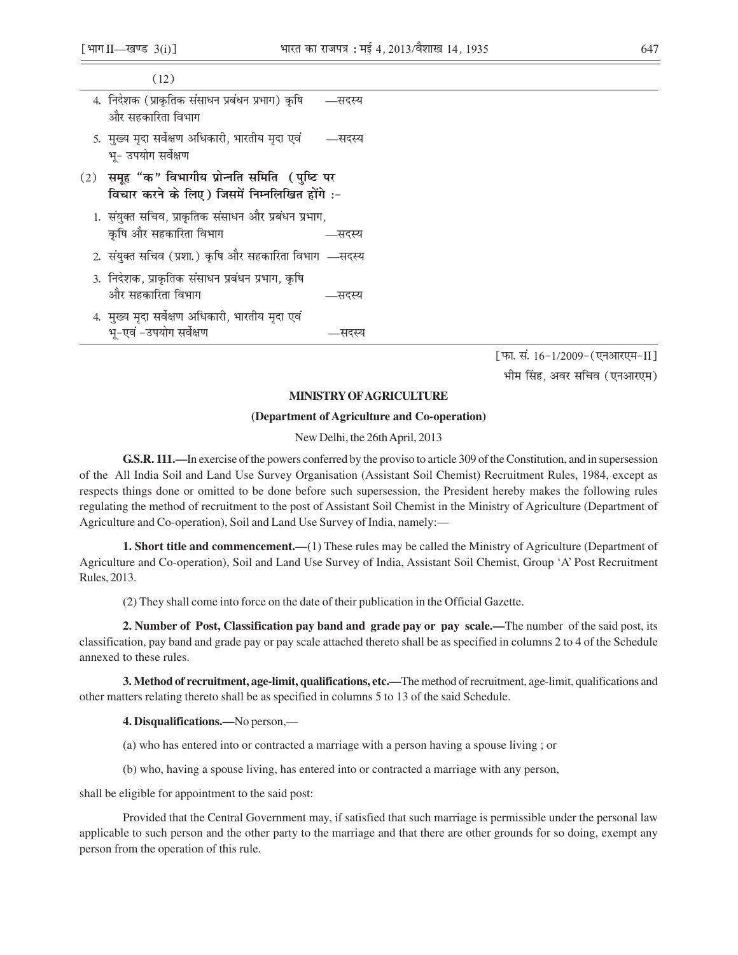| (12)                                                                                                 |        |  |
|------------------------------------------------------------------------------------------------------|--------|--|
| 4. निदेशक (प्राकृतिक संसाधन प्रबंधन प्रभाग) कृषि<br>और सहकारिता विभाग                                | —सदस्य |  |
| 5. मुख्य मृदा सर्वेक्षण अधिकारी, भारतीय मृदा एवं<br>भू- उपयोग सर्वेक्षण                              | —सदस्य |  |
| (2)   समूह "क" विभागीय प्रोन्नति समिति  ( पुष्टि पर<br>विचार करने के लिए) जिसमें निम्नलिखित होंगे :- |        |  |
| 1. संयुक्त सचिव, प्राकृतिक संसाधन और प्रबंधन प्रभाग,<br>कृषि और सहकारिता विभाग                       | —सदस्य |  |
| 2. संयुक्त सचिव (प्रशा.) कृषि और सहकारिता विभाग —सदस्य                                               |        |  |
| 3. निदेशक, प्राकृतिक संसाधन प्रबंधन प्रभाग, कृषि<br>और सहकारिता विभाग                                | —सदस्य |  |
| 4. मुख्य मृदा सर्वेक्षण अधिकारी, भारतीय मृदा एवं<br>भू-एवं -उपयोग सर्वेक्षण                          | –सदस्य |  |
|                                                                                                      |        |  |

[फा. सं. 16-1/2009-(एनआरएम-II] भीम सिंह, अवर सचिव (एनआरएम)

## **MINISTRY OF AGRICULTURE**

## (Department of Agriculture and Co-operation)

New Delhi, the 26th April, 2013

G.S.R. 111.—In exercise of the powers conferred by the proviso to article 309 of the Constitution, and in supersession of the All India Soil and Land Use Survey Organisation (Assistant Soil Chemist) Recruitment Rules, 1984, except as respects things done or omitted to be done before such supersession, the President hereby makes the following rules regulating the method of recruitment to the post of Assistant Soil Chemist in the Ministry of Agriculture (Department of Agriculture and Co-operation), Soil and Land Use Survey of India, namely:—

**1. Short title and commencement.—(1)** These rules may be called the Ministry of Agriculture (Department of Agriculture and Co-operation), Soil and Land Use Survey of India, Assistant Soil Chemist, Group 'A' Post Recruitment Rules, 2013.

(2) They shall come into force on the date of their publication in the Official Gazette.

2. Number of Post, Classification pay band and grade pay or pay scale.—The number of the said post, its classification, pay band and grade pay or pay scale attached thereto shall be as specified in columns 2 to 4 of the Schedule annexed to these rules.

3. Method of recruitment, age-limit, qualifications, etc.—The method of recruitment, age-limit, qualifications and other matters relating thereto shall be as specified in columns 5 to 13 of the said Schedule.

## 4. Disqualifications.—No person,—

- (a) who has entered into or contracted a marriage with a person having a spouse living; or
- (b) who, having a spouse living, has entered into or contracted a marriage with any person,

shall be eligible for appointment to the said post:

Provided that the Central Government may, if satisfied that such marriage is permissible under the personal law applicable to such person and the other party to the marriage and that there are other grounds for so doing, exempt any person from the operation of this rule.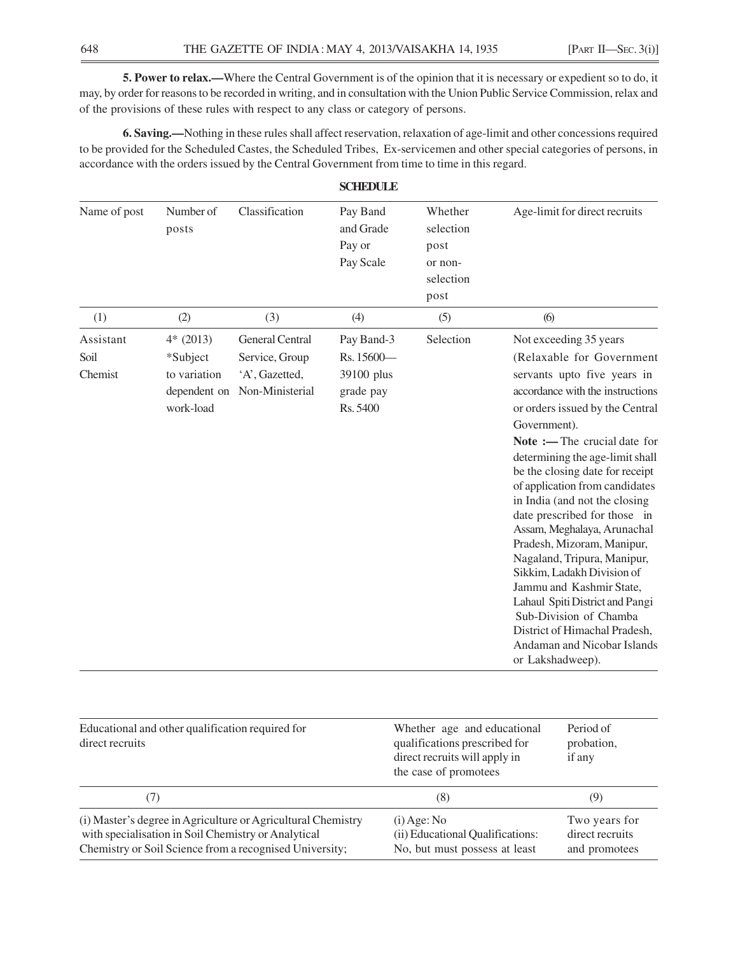**5. Power to relax.—**Where the Central Government is of the opinion that it is necessary or expedient so to do, it may, by order for reasons to be recorded in writing, and in consultation with the Union Public Service Commission, relax and of the provisions of these rules with respect to any class or category of persons.

**6. Saving.—**Nothing in these rules shall affect reservation, relaxation of age-limit and other concessions required to be provided for the Scheduled Castes, the Scheduled Tribes, Ex-servicemen and other special categories of persons, in accordance with the orders issued by the Central Government from time to time in this regard.

| Name of post                 | Number of<br>posts                                                  | Classification                                                         | Pay Band<br>and Grade<br>Pay or<br>Pay Scale                    | Whether<br>selection<br>post<br>or non-<br>selection<br>post | Age-limit for direct recruits                                                                                                                                                                                                                                                                                                                                                                                                                                                                                                                                                                                                                                                             |
|------------------------------|---------------------------------------------------------------------|------------------------------------------------------------------------|-----------------------------------------------------------------|--------------------------------------------------------------|-------------------------------------------------------------------------------------------------------------------------------------------------------------------------------------------------------------------------------------------------------------------------------------------------------------------------------------------------------------------------------------------------------------------------------------------------------------------------------------------------------------------------------------------------------------------------------------------------------------------------------------------------------------------------------------------|
| (1)                          | (2)                                                                 | (3)                                                                    | (4)                                                             | (5)                                                          | (6)                                                                                                                                                                                                                                                                                                                                                                                                                                                                                                                                                                                                                                                                                       |
| Assistant<br>Soil<br>Chemist | $4*(2013)$<br>*Subject<br>to variation<br>dependent on<br>work-load | General Central<br>Service, Group<br>'A', Gazetted,<br>Non-Ministerial | Pay Band-3<br>Rs. 15600-<br>39100 plus<br>grade pay<br>Rs. 5400 | Selection                                                    | Not exceeding 35 years<br>(Relaxable for Government<br>servants upto five years in<br>accordance with the instructions<br>or orders issued by the Central<br>Government).<br>Note :- The crucial date for<br>determining the age-limit shall<br>be the closing date for receipt<br>of application from candidates<br>in India (and not the closing<br>date prescribed for those in<br>Assam, Meghalaya, Arunachal<br>Pradesh, Mizoram, Manipur,<br>Nagaland, Tripura, Manipur,<br>Sikkim, Ladakh Division of<br>Jammu and Kashmir State,<br>Lahaul Spiti District and Pangi<br>Sub-Division of Chamba<br>District of Himachal Pradesh,<br>Andaman and Nicobar Islands<br>or Lakshadweep). |

| Educational and other qualification required for<br>direct recruits                                                                                                            | Whether age and educational<br>qualifications prescribed for<br>direct recruits will apply in<br>the case of promotees | Period of<br>probation,<br>if any                 |
|--------------------------------------------------------------------------------------------------------------------------------------------------------------------------------|------------------------------------------------------------------------------------------------------------------------|---------------------------------------------------|
|                                                                                                                                                                                | (8)                                                                                                                    | (9)                                               |
| (i) Master's degree in Agriculture or Agricultural Chemistry<br>with specialisation in Soil Chemistry or Analytical<br>Chemistry or Soil Science from a recognised University; | $(i)$ Age: No<br>(ii) Educational Qualifications:<br>No, but must possess at least                                     | Two years for<br>direct recruits<br>and promotees |

**SCHEDULE**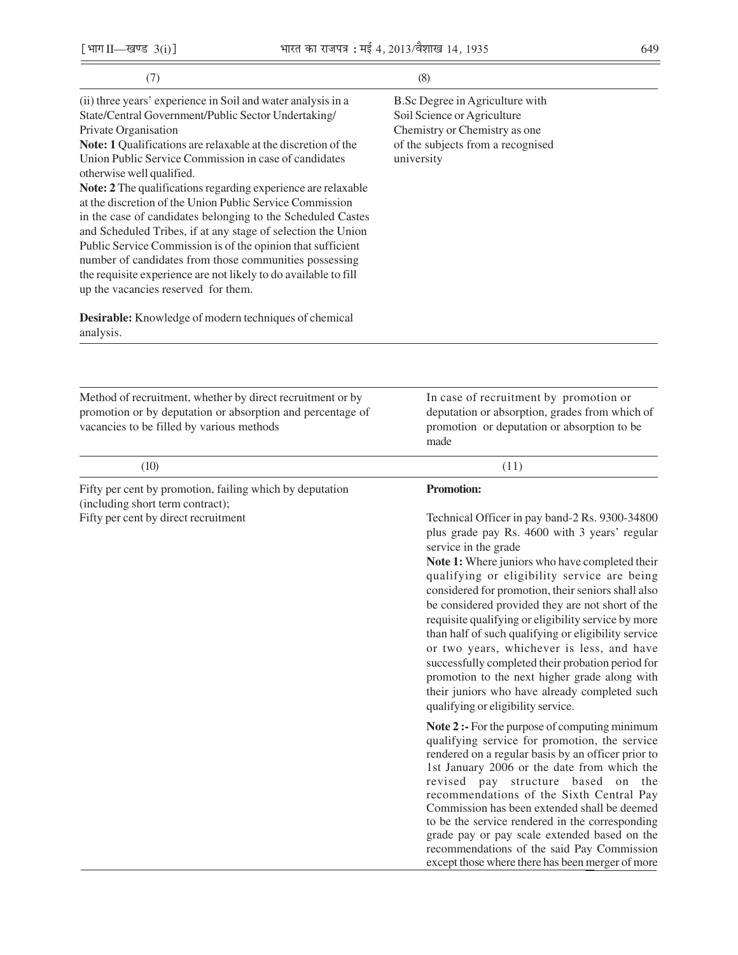| ۰.<br>v          | ۹                 |
|------------------|-------------------|
| ×<br>I<br>٠<br>× | ×<br>I<br>۰.<br>٠ |

| [भाग II-खण्ड $3(i)$ ]                                                                                                                                                                                                                                                                                                                                                                                                                                                                                                                                                                                                                                                                                                                                                                             | भारत का राजपत्र : मई 4, 2013/वैशाख 14, 1935 |                                                                                                                                                                                                                                                                                                                                                                                                                                                                                                                                                                                                                                                                                                          | 649 |
|---------------------------------------------------------------------------------------------------------------------------------------------------------------------------------------------------------------------------------------------------------------------------------------------------------------------------------------------------------------------------------------------------------------------------------------------------------------------------------------------------------------------------------------------------------------------------------------------------------------------------------------------------------------------------------------------------------------------------------------------------------------------------------------------------|---------------------------------------------|----------------------------------------------------------------------------------------------------------------------------------------------------------------------------------------------------------------------------------------------------------------------------------------------------------------------------------------------------------------------------------------------------------------------------------------------------------------------------------------------------------------------------------------------------------------------------------------------------------------------------------------------------------------------------------------------------------|-----|
| (7)                                                                                                                                                                                                                                                                                                                                                                                                                                                                                                                                                                                                                                                                                                                                                                                               |                                             | (8)                                                                                                                                                                                                                                                                                                                                                                                                                                                                                                                                                                                                                                                                                                      |     |
| (ii) three years' experience in Soil and water analysis in a<br>State/Central Government/Public Sector Undertaking/<br>Private Organisation<br>Note: 1 Qualifications are relaxable at the discretion of the<br>Union Public Service Commission in case of candidates<br>otherwise well qualified.<br>Note: 2 The qualifications regarding experience are relaxable<br>at the discretion of the Union Public Service Commission<br>in the case of candidates belonging to the Scheduled Castes<br>and Scheduled Tribes, if at any stage of selection the Union<br>Public Service Commission is of the opinion that sufficient<br>number of candidates from those communities possessing<br>the requisite experience are not likely to do available to fill<br>up the vacancies reserved for them. |                                             | B.Sc Degree in Agriculture with<br>Soil Science or Agriculture<br>Chemistry or Chemistry as one<br>of the subjects from a recognised<br>university                                                                                                                                                                                                                                                                                                                                                                                                                                                                                                                                                       |     |
| Desirable: Knowledge of modern techniques of chemical<br>analysis.                                                                                                                                                                                                                                                                                                                                                                                                                                                                                                                                                                                                                                                                                                                                |                                             |                                                                                                                                                                                                                                                                                                                                                                                                                                                                                                                                                                                                                                                                                                          |     |
| Method of recruitment, whether by direct recruitment or by<br>promotion or by deputation or absorption and percentage of<br>vacancies to be filled by various methods                                                                                                                                                                                                                                                                                                                                                                                                                                                                                                                                                                                                                             |                                             | In case of recruitment by promotion or<br>deputation or absorption, grades from which of<br>promotion or deputation or absorption to be<br>made                                                                                                                                                                                                                                                                                                                                                                                                                                                                                                                                                          |     |
| (10)                                                                                                                                                                                                                                                                                                                                                                                                                                                                                                                                                                                                                                                                                                                                                                                              |                                             | (11)                                                                                                                                                                                                                                                                                                                                                                                                                                                                                                                                                                                                                                                                                                     |     |
| Fifty per cent by promotion, failing which by deputation<br>(including short term contract);<br>Fifty per cent by direct recruitment                                                                                                                                                                                                                                                                                                                                                                                                                                                                                                                                                                                                                                                              |                                             | Promotion:<br>Technical Officer in pay band-2 Rs. 9300-34800<br>plus grade pay Rs. 4600 with 3 years' regular<br>service in the grade<br>Note 1: Where juniors who have completed their<br>qualifying or eligibility service are being<br>considered for promotion, their seniors shall also<br>be considered provided they are not short of the<br>requisite qualifying or eligibility service by more<br>than half of such qualifying or eligibility service<br>or two years, whichever is less, and have<br>successfully completed their probation period for<br>promotion to the next higher grade along with<br>their juniors who have already completed such<br>qualifying or eligibility service. |     |
|                                                                                                                                                                                                                                                                                                                                                                                                                                                                                                                                                                                                                                                                                                                                                                                                   |                                             | Note 2 :- For the purpose of computing minimum<br>qualifying service for promotion, the service<br>rendered on a regular basis by an officer prior to<br>1st January 2006 or the date from which the<br>revised pay structure based on the<br>recommendations of the Sixth Central Pay<br>Commission has been extended shall be deemed<br>to be the service rendered in the corresponding<br>grade pay or pay scale extended based on the<br>recommendations of the said Pay Commission<br>except those where there has been merger of more                                                                                                                                                              |     |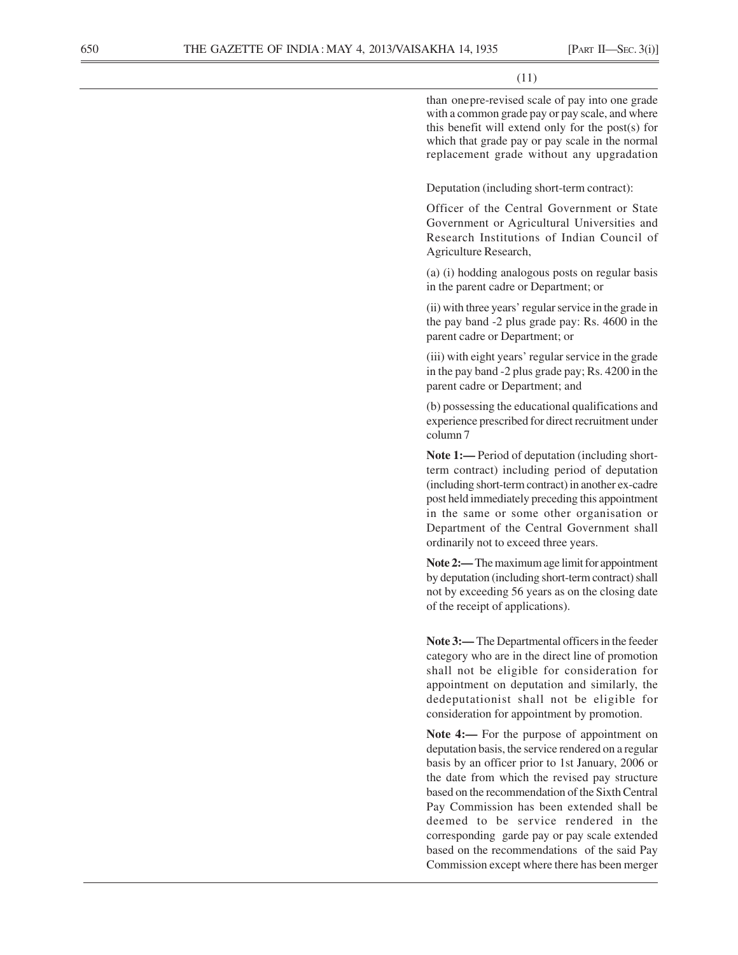(11)

than onepre-revised scale of pay into one grade with a common grade pay or pay scale, and where this benefit will extend only for the post(s) for which that grade pay or pay scale in the normal replacement grade without any upgradation

Deputation (including short-term contract):

Officer of the Central Government or State Government or Agricultural Universities and Research Institutions of Indian Council of Agriculture Research,

(a) (i) hodding analogous posts on regular basis in the parent cadre or Department; or

(ii) with three years' regular service in the grade in the pay band -2 plus grade pay: Rs. 4600 in the parent cadre or Department; or

(iii) with eight years' regular service in the grade in the pay band -2 plus grade pay; Rs. 4200 in the parent cadre or Department; and

(b) possessing the educational qualifications and experience prescribed for direct recruitment under column 7

**Note 1:—** Period of deputation (including shortterm contract) including period of deputation (including short-term contract) in another ex-cadre post held immediately preceding this appointment in the same or some other organisation or Department of the Central Government shall ordinarily not to exceed three years.

**Note 2:—** The maximum age limit for appointment by deputation (including short-term contract) shall not by exceeding 56 years as on the closing date of the receipt of applications).

**Note 3:—** The Departmental officers in the feeder category who are in the direct line of promotion shall not be eligible for consideration for appointment on deputation and similarly, the dedeputationist shall not be eligible for consideration for appointment by promotion.

Note 4:— For the purpose of appointment on deputation basis, the service rendered on a regular basis by an officer prior to 1st January, 2006 or the date from which the revised pay structure based on the recommendation of the Sixth Central Pay Commission has been extended shall be deemed to be service rendered in the corresponding garde pay or pay scale extended based on the recommendations of the said Pay Commission except where there has been merger